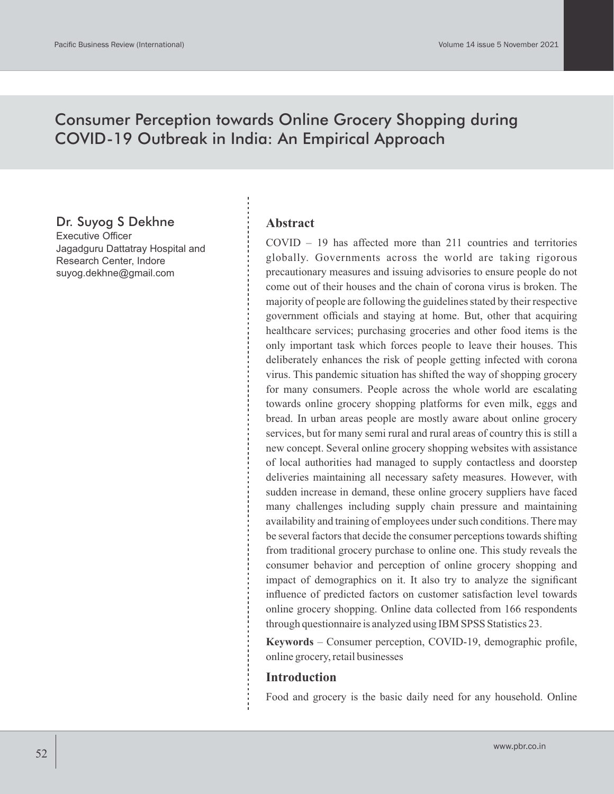# Consumer Perception towards Online Grocery Shopping during COVID-19 Outbreak in India: An Empirical Approach

## Dr. Suyog S Dekhne

Executive Officer Jagadguru Dattatray Hospital and Research Center, Indore suyog.dekhne@gmail.com

#### **Abstract**

COVID – 19 has affected more than 211 countries and territories globally. Governments across the world are taking rigorous precautionary measures and issuing advisories to ensure people do not come out of their houses and the chain of corona virus is broken. The majority of people are following the guidelines stated by their respective government officials and staying at home. But, other that acquiring healthcare services; purchasing groceries and other food items is the only important task which forces people to leave their houses. This deliberately enhances the risk of people getting infected with corona virus. This pandemic situation has shifted the way of shopping grocery for many consumers. People across the whole world are escalating towards online grocery shopping platforms for even milk, eggs and bread. In urban areas people are mostly aware about online grocery services, but for many semi rural and rural areas of country this is still a new concept. Several online grocery shopping websites with assistance of local authorities had managed to supply contactless and doorstep deliveries maintaining all necessary safety measures. However, with sudden increase in demand, these online grocery suppliers have faced many challenges including supply chain pressure and maintaining availability and training of employees under such conditions. There may be several factors that decide the consumer perceptions towards shifting from traditional grocery purchase to online one. This study reveals the consumer behavior and perception of online grocery shopping and impact of demographics on it. It also try to analyze the significant influence of predicted factors on customer satisfaction level towards online grocery shopping. Online data collected from 166 respondents through questionnaire is analyzed using IBM SPSS Statistics 23.

**Keywords** – Consumer perception, COVID-19, demographic profile, online grocery, retail businesses

#### **Introduction**

Food and grocery is the basic daily need for any household. Online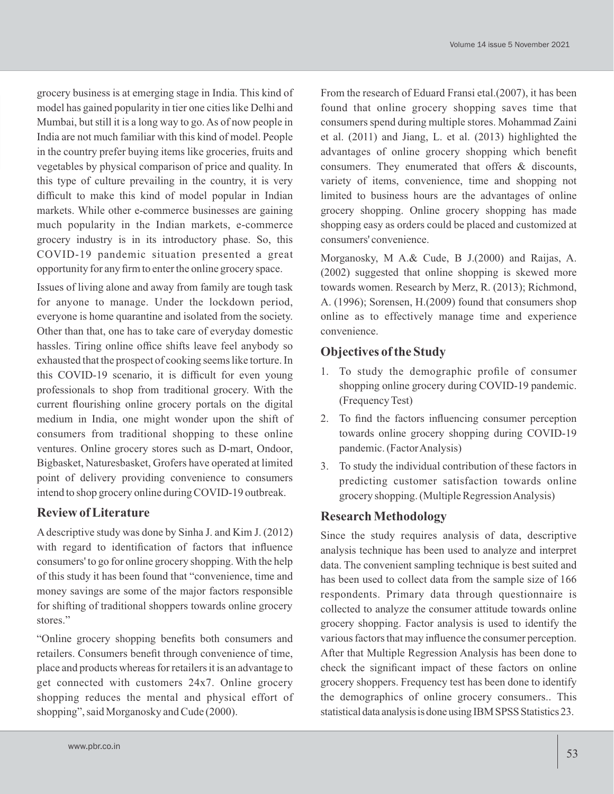grocery business is at emerging stage in India. This kind of model has gained popularity in tier one cities like Delhi and Mumbai, but still it is a long way to go. As of now people in India are not much familiar with this kind of model. People in the country prefer buying items like groceries, fruits and vegetables by physical comparison of price and quality. In this type of culture prevailing in the country, it is very difficult to make this kind of model popular in Indian markets. While other e-commerce businesses are gaining much popularity in the Indian markets, e-commerce grocery industry is in its introductory phase. So, this COVID-19 pandemic situation presented a great opportunity for any firm to enter the online grocery space.

Issues of living alone and away from family are tough task for anyone to manage. Under the lockdown period, everyone is home quarantine and isolated from the society. Other than that, one has to take care of everyday domestic hassles. Tiring online office shifts leave feel anybody so exhausted that the prospect of cooking seems like torture. In this COVID-19 scenario, it is difficult for even young professionals to shop from traditional grocery. With the current flourishing online grocery portals on the digital medium in India, one might wonder upon the shift of consumers from traditional shopping to these online ventures. Online grocery stores such as D-mart, Ondoor, Bigbasket, Naturesbasket, Grofers have operated at limited point of delivery providing convenience to consumers intend to shop grocery online during COVID-19 outbreak.

## **Review of Literature**

Adescriptive study was done by Sinha J. and Kim J. (2012) with regard to identification of factors that influence consumers' to go for online grocery shopping. With the help of this study it has been found that "convenience, time and money savings are some of the major factors responsible for shifting of traditional shoppers towards online grocery stores."

"Online grocery shopping benefits both consumers and retailers. Consumers benefit through convenience of time, place and products whereas for retailers it is an advantage to get connected with customers 24x7. Online grocery shopping reduces the mental and physical effort of shopping", said Morganosky and Cude (2000).

From the research of Eduard Fransi etal.(2007), it has been found that online grocery shopping saves time that consumers spend during multiple stores. Mohammad Zaini et al. (2011) and Jiang, L. et al. (2013) highlighted the advantages of online grocery shopping which benefit consumers. They enumerated that offers & discounts, variety of items, convenience, time and shopping not limited to business hours are the advantages of online grocery shopping. Online grocery shopping has made shopping easy as orders could be placed and customized at consumers' convenience.

Morganosky, M A.& Cude, B J.(2000) and Raijas, A. (2002) suggested that online shopping is skewed more towards women. Research by Merz, R. (2013); Richmond, A. (1996); Sorensen, H.(2009) found that consumers shop online as to effectively manage time and experience convenience.

## **Objectives of the Study**

- 1. To study the demographic profile of consumer shopping online grocery during COVID-19 pandemic. (Frequency Test)
- 2. To find the factors influencing consumer perception towards online grocery shopping during COVID-19 pandemic. (Factor Analysis)
- 3. To study the individual contribution of these factors in predicting customer satisfaction towards online grocery shopping. (Multiple Regression Analysis)

## **Research Methodology**

Since the study requires analysis of data, descriptive analysis technique has been used to analyze and interpret data. The convenient sampling technique is best suited and has been used to collect data from the sample size of 166 respondents. Primary data through questionnaire is collected to analyze the consumer attitude towards online grocery shopping. Factor analysis is used to identify the various factors that may influence the consumer perception. After that Multiple Regression Analysis has been done to check the significant impact of these factors on online grocery shoppers. Frequency test has been done to identify the demographics of online grocery consumers.. This statistical data analysis is done using IBM SPSS Statistics 23.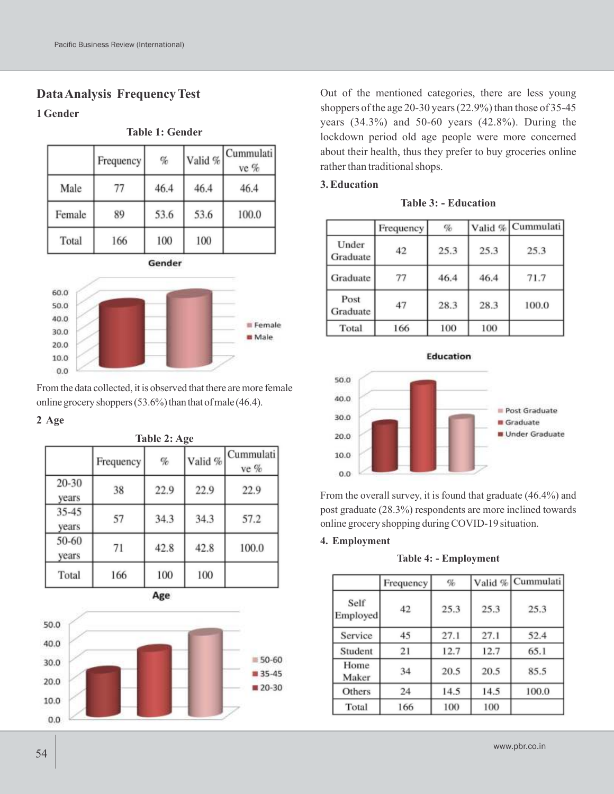## **Data Analysis Frequency Test**

#### **1 Gender**

|        | Frequency | $\%$   | Valid % | Cummulati<br>ve % |
|--------|-----------|--------|---------|-------------------|
| Male   | 77        | 46.4   | 46.4    | 46.4              |
| Female | 89        | 53.6   | 53.6    | 100.0             |
| Total  | 166       | 100    | 100     |                   |
|        |           | Gender |         |                   |

**Table 1: Gender**



From the data collected, it is observed that there are more female online grocery shoppers  $(53.6\%)$  than that of male (46.4).

#### **2 Age**

| <b>Table 2: Age</b> |           |      |         |                   |  |  |
|---------------------|-----------|------|---------|-------------------|--|--|
|                     | Frequency | $\%$ | Valid % | Cummulati<br>ve % |  |  |
| 20-30<br>years      | 38        | 22.9 | 22.9    | 22.9              |  |  |
| $35 - 45$<br>years  | 57        | 34.3 | 34.3    | 57.2              |  |  |
| 50-60<br>years      | 71        | 42.8 | 42.8    | 100.0             |  |  |
| Total               | 166       | 100  | 100     |                   |  |  |





Out of the mentioned categories, there are less young shoppers of the age 20-30 years (22.9%) than those of 35-45 years (34.3%) and 50-60 years (42.8%). During the lockdown period old age people were more concerned about their health, thus they prefer to buy groceries online rather than traditional shops.

#### **3. Education**

**Table 3: - Education**

|                   | Frequency | $\%$ |      | Valid % Cummulati |
|-------------------|-----------|------|------|-------------------|
| Under<br>Graduate | 42        | 25.3 | 25.3 | 25.3              |
| Graduate          | 77        | 46.4 | 46.4 | 71.7              |
| Post<br>Graduate  | 47        | 28.3 | 28.3 | 100.0             |
| Total             | 166       | 100  | 100  |                   |





From the overall survey, it is found that graduate (46.4%) and post graduate (28.3%) respondents are more inclined towards online grocery shopping during COVID-19 situation.

#### **4. Employment**

**Table 4: - Employment**

|                  | Frequency | $\%$ | Valid % | Cummulati |
|------------------|-----------|------|---------|-----------|
| Self<br>Employed | 42        | 25.3 | 25.3    | 25.3      |
| Service          | 45        | 27.1 | 27.1    | 52.4      |
| Student          | 21        | 12.7 | 12.7    | 65.1      |
| Home<br>Maker    | 34        | 20.5 | 20.5    | 85.5      |
| Others           | 24        | 14.5 | 14.5    | 100.0     |
| Total            | 166       | 100  | 100     |           |

www.pbr.co.in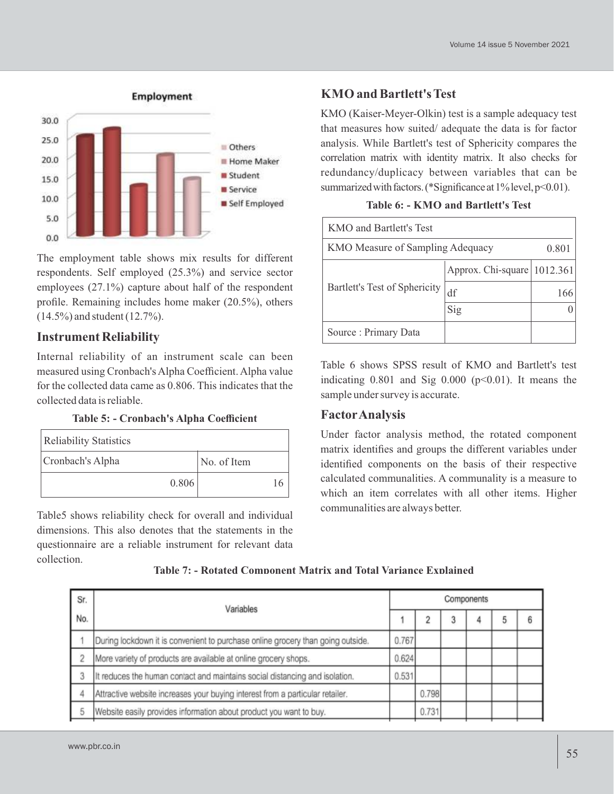

The employment table shows mix results for different respondents. Self employed (25.3%) and service sector employees (27.1%) capture about half of the respondent profile. Remaining includes home maker (20.5%), others (14.5%) and student (12.7%).

## **Instrument Reliability**

Internal reliability of an instrument scale can been measured using Cronbach's Alpha Coefficient. Alpha value for the collected data came as 0.806. This indicates that the collected data is reliable.

| <b>Reliability Statistics</b> |       |             |  |
|-------------------------------|-------|-------------|--|
| Cronbach's Alpha              |       | No. of Item |  |
|                               | 0.806 |             |  |

Table5 shows reliability check for overall and individual dimensions. This also denotes that the statements in the questionnaire are a reliable instrument for relevant data collection.

## **KMO and Bartlett's Test**

KMO (Kaiser-Meyer-Olkin) test is a sample adequacy test that measures how suited/ adequate the data is for factor analysis. While Bartlett's test of Sphericity compares the correlation matrix with identity matrix. It also checks for redundancy/duplicacy between variables that can be summarized with factors. (\*Significance at 1% level, p<0.01).

| KMO and Bartlett's Test                   |                                 |     |  |  |  |  |  |
|-------------------------------------------|---------------------------------|-----|--|--|--|--|--|
| KMO Measure of Sampling Adequacy<br>0.801 |                                 |     |  |  |  |  |  |
| Bartlett's Test of Sphericity             | Approx. Chi-square $ 1012.361 $ |     |  |  |  |  |  |
|                                           | df                              | 166 |  |  |  |  |  |
|                                           | Sig                             |     |  |  |  |  |  |
| Source: Primary Data                      |                                 |     |  |  |  |  |  |

Table 6 shows SPSS result of KMO and Bartlett's test indicating  $0.801$  and Sig  $0.000$  ( $p<0.01$ ). It means the sample under survey is accurate.

## **FactorAnalysis**

Under factor analysis method, the rotated component matrix identifies and groups the different variables under identified components on the basis of their respective calculated communalities. A communality is a measure to which an item correlates with all other items. Higher communalities are always better.

| Sr. | Variables                                                                       |       | Components |  |  |  |  |  |
|-----|---------------------------------------------------------------------------------|-------|------------|--|--|--|--|--|
| No. |                                                                                 |       |            |  |  |  |  |  |
|     | During lockdown it is convenient to purchase online grocery than going outside. | 0.767 |            |  |  |  |  |  |
| 2   | More variety of products are available at online grocery shops.                 | 0.624 |            |  |  |  |  |  |
| 3   | It reduces the human contact and maintains social distancing and isolation.     | 0.531 |            |  |  |  |  |  |
|     | Attractive website increases your buying interest from a particular retailer.   |       | 0.798      |  |  |  |  |  |
|     | Website easily provides information about product you want to buy.              |       | 0.731      |  |  |  |  |  |
|     |                                                                                 |       |            |  |  |  |  |  |

**Table 7: - Rotated Component Matrix and Total Variance Explained**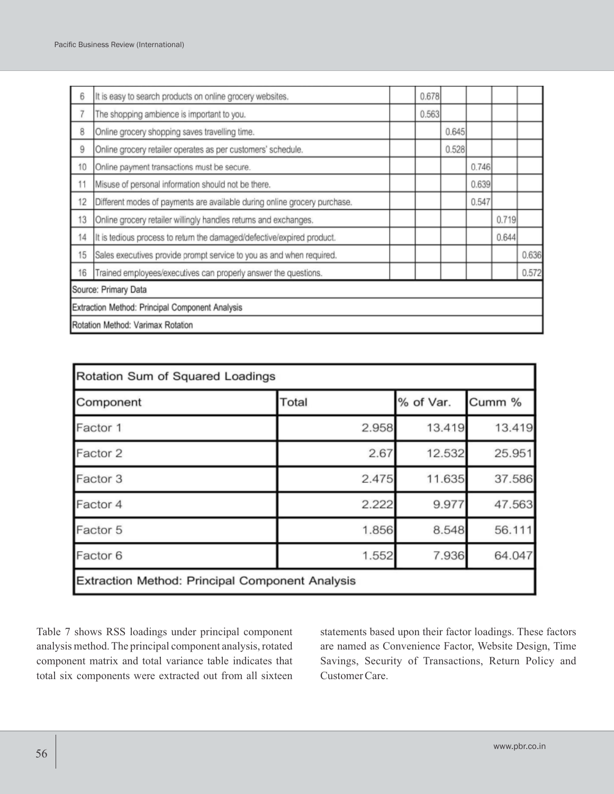| 6                                               | It is easy to search products on online grocery websites.                 |  | 0.678 |       |       |       |       |
|-------------------------------------------------|---------------------------------------------------------------------------|--|-------|-------|-------|-------|-------|
| 7                                               | The shopping ambience is important to you.                                |  | 0.563 |       |       |       |       |
| 8                                               | Online grocery shopping saves travelling time.                            |  |       | 0.645 |       |       |       |
| 9                                               | Online grocery retailer operates as per customers' schedule.              |  |       | 0.528 |       |       |       |
| 10                                              | Online payment transactions must be secure.                               |  |       |       | 0.746 |       |       |
| 11                                              | Misuse of personal information should not be there.                       |  |       |       | 0.639 |       |       |
| 12                                              | Different modes of payments are available during online grocery purchase. |  |       |       | 0.547 |       |       |
| 13                                              | Online grocery retailer willingly handles returns and exchanges.          |  |       |       |       | 0.719 |       |
| 14                                              | It is tedious process to return the damaged/defective/expired product.    |  |       |       |       | 0.644 |       |
| 15                                              | Sales executives provide prompt service to you as and when required.      |  |       |       |       |       | 0.636 |
| 16                                              | Trained employees/executives can properly answer the questions.           |  |       |       |       |       | 0.572 |
|                                                 | Source: Primary Data                                                      |  |       |       |       |       |       |
| Extraction Method: Principal Component Analysis |                                                                           |  |       |       |       |       |       |
|                                                 | Rotation Method: Varimax Rotation                                         |  |       |       |       |       |       |

| Rotation Sum of Squared Loadings                       |                    |        |        |  |  |  |
|--------------------------------------------------------|--------------------|--------|--------|--|--|--|
| Component                                              | % of Var.<br>Total |        | Cumm % |  |  |  |
| Factor 1                                               | 2.958              | 13.419 | 13.419 |  |  |  |
| Factor 2                                               | 2.67               | 12.532 | 25.951 |  |  |  |
| Factor 3                                               | 2.475              | 11.635 | 37.586 |  |  |  |
| Factor 4                                               | 2.222              | 9.977  | 47.563 |  |  |  |
| Factor 5                                               | 1.856              | 8.548  | 56.111 |  |  |  |
| Factor 6                                               | 1.552              | 7.936  | 64.047 |  |  |  |
| <b>Extraction Method: Principal Component Analysis</b> |                    |        |        |  |  |  |

Table 7 shows RSS loadings under principal component analysis method. The principal component analysis, rotated component matrix and total variance table indicates that total six components were extracted out from all sixteen statements based upon their factor loadings. These factors are named as Convenience Factor, Website Design, Time Savings, Security of Transactions, Return Policy and Customer Care.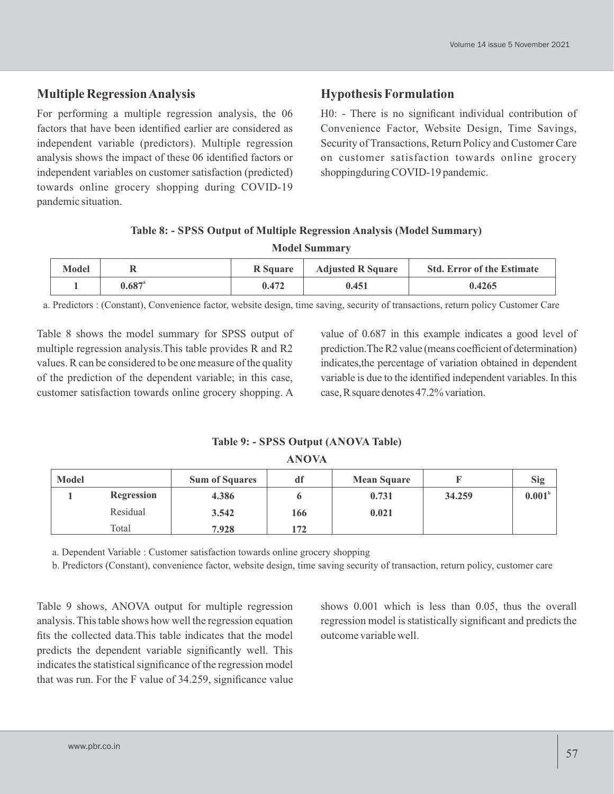## **Multiple Regression Analysis**

For performing a multiple regression analysis, the 06 factors that have been identified earlier are considered as independent variable (predictors). Multiple regression analysis shows the impact of these 06 identified factors or independent variables on customer satisfaction (predicted) towards online grocery shopping during COVID-19 pandemic situation.

### **Hypothesis Formulation**

H0: - There is no significant individual contribution of Convenience Factor, Website Design, Time Savings, Security of Transactions, Return Policy and Customer Care on customer satisfaction towards online grocery shoppingduring COVID-19 pandemic.

### **Table 8: - SPSS Output of Multiple Regression Analysis (Model Summary)**

**Model Summary**

| <b>Model</b> |                 | R Square | <b>Adjusted R Square</b> | <b>Std. Error of the Estimate</b> |
|--------------|-----------------|----------|--------------------------|-----------------------------------|
|              | $0.687^{\circ}$ | 0.472    | 0.451                    | 0.4265                            |

a. Predictors : (Constant), Convenience factor, website design, time saving, security of transactions, return policy Customer Care

Table 8 shows the model summary for SPSS output of multiple regression analysis.This table provides R and R2 values. R can be considered to be one measure of the quality of the prediction of the dependent variable; in this case, customer satisfaction towards online grocery shopping. A

value of 0.687 in this example indicates a good level of prediction.TheR2 value (means coefficient of determination) indicates,the percentage of variation obtained in dependent variable is due to the identified independent variables. In this case, R square denotes 47.2% variation.

**Table 9: - SPSS Output (ANOVA Table) ANOVA**

| Model |                   | <b>Sum of Squares</b> | df  | <b>Mean Square</b> |        | <b>Sig</b>         |
|-------|-------------------|-----------------------|-----|--------------------|--------|--------------------|
|       | <b>Regression</b> | 4.386                 |     | 0.731              | 34.259 | 0.001 <sup>b</sup> |
|       | Residual          | 3.542                 | 166 | 0.021              |        |                    |
|       | Total             | 7.928                 | 172 |                    |        |                    |

a. Dependent Variable : Customer satisfaction towards online grocery shopping

b. Predictors (Constant), convenience factor, website design, time saving security of transaction, return policy, customer care

Table 9 shows, ANOVA output for multiple regression analysis. This table shows how well the regression equation fits the collected data.This table indicates that the model predicts the dependent variable significantly well. This indicates the statistical significance of the regression model that was run. For the F value of 34.259, significance value

shows 0.001 which is less than 0.05, thus the overall regression model is statistically significant and predicts the outcome variable well.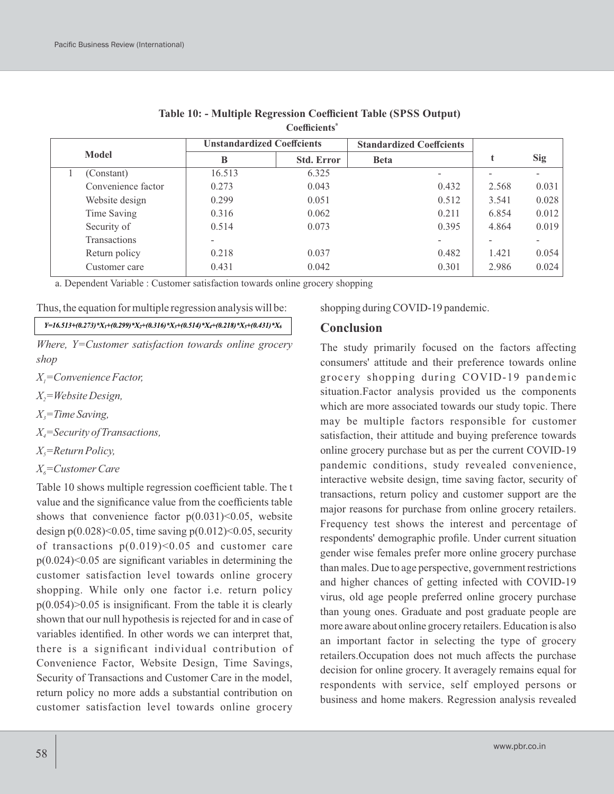|              |                    | <b>Unstandardized Coeffcients</b> |                   | <b>Standardized Coeffcients</b> |       |            |
|--------------|--------------------|-----------------------------------|-------------------|---------------------------------|-------|------------|
| <b>Model</b> |                    | B                                 | <b>Std. Error</b> | <b>Beta</b>                     |       | <b>Sig</b> |
|              | (Constant)         | 16.513                            | 6.325             | $\overline{\phantom{0}}$        |       |            |
|              | Convenience factor | 0.273                             | 0.043             | 0.432                           | 2.568 | 0.031      |
|              | Website design     | 0.299                             | 0.051             | 0.512                           | 3.541 | 0.028      |
|              | Time Saving        | 0.316                             | 0.062             | 0.211                           | 6.854 | 0.012      |
|              | Security of        | 0.514                             | 0.073             | 0.395                           | 4.864 | 0.019      |
|              | Transactions       |                                   |                   |                                 |       |            |
|              | Return policy      | 0.218                             | 0.037             | 0.482                           | 1.421 | 0.054      |
|              | Customer care      | 0.431                             | 0.042             | 0.301                           | 2.986 | 0.024      |

| Table 10: - Multiple Regression Coefficient Table (SPSS Output) |  |  |  |  |  |  |  |
|-----------------------------------------------------------------|--|--|--|--|--|--|--|
| Coefficients <sup>a</sup>                                       |  |  |  |  |  |  |  |

a. Dependent Variable : Customer satisfaction towards online grocery shopping

Thus, the equation for multiple regression analysis will be:

#### $Y=16.513+(0.273)*X_1+(0.299)*X_2+(0.316)*X_3+(0.514)*X_4+(0.218)*X_5+(0.431)*X_6$

*Where, Y=Customer satisfaction towards online grocery shop*

*X =Convenience Factor, 1*

*X =Website Design, <sup>2</sup>*

 $X_i$ =Time Saving,

*X =Security of Transactions, <sup>4</sup>*

*X =Return Policy, 5*

*X6=Customer Care*

Table 10 shows multiple regression coefficient table. The t value and the significance value from the coefficients table shows that convenience factor  $p(0.031) < 0.05$ , website design  $p(0.028) \le 0.05$ , time saving  $p(0.012) \le 0.05$ , security of transactions  $p(0.019)$  < 0.05 and customer care  $p(0.024)$  < 0.05 are significant variables in determining the customer satisfaction level towards online grocery shopping. While only one factor i.e. return policy  $p(0.054)$  $> 0.05$  is insignificant. From the table it is clearly shown that our null hypothesis is rejected for and in case of variables identified. In other words we can interpret that, there is a significant individual contribution of Convenience Factor, Website Design, Time Savings, Security of Transactions and Customer Care in the model, return policy no more adds a substantial contribution on customer satisfaction level towards online grocery

shopping during COVID-19 pandemic.

#### **Conclusion**

The study primarily focused on the factors affecting consumers' attitude and their preference towards online grocery shopping during COVID-19 pandemic situation.Factor analysis provided us the components which are more associated towards our study topic. There may be multiple factors responsible for customer satisfaction, their attitude and buying preference towards online grocery purchase but as per the current COVID-19 pandemic conditions, study revealed convenience, interactive website design, time saving factor, security of transactions, return policy and customer support are the major reasons for purchase from online grocery retailers. Frequency test shows the interest and percentage of respondents' demographic profile. Under current situation gender wise females prefer more online grocery purchase than males. Due to age perspective, government restrictions and higher chances of getting infected with COVID-19 virus, old age people preferred online grocery purchase than young ones. Graduate and post graduate people are more aware about online grocery retailers. Education is also an important factor in selecting the type of grocery retailers.Occupation does not much affects the purchase decision for online grocery. It averagely remains equal for respondents with service, self employed persons or business and home makers. Regression analysis revealed